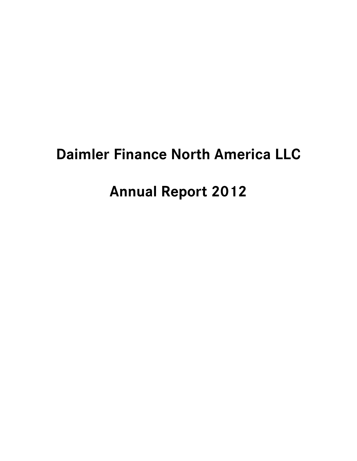# **Daimler Finance North America LLC**

# **Annual Report 2012**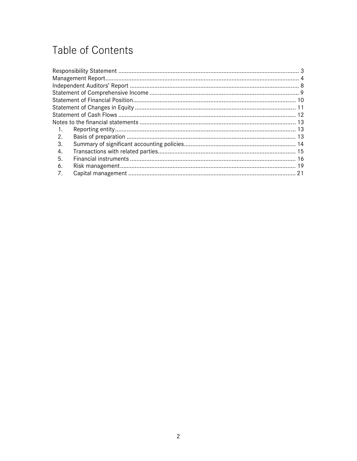# Table of Contents

| 2. |  |
|----|--|
| 3. |  |
| 4. |  |
| 5. |  |
| 6. |  |
|    |  |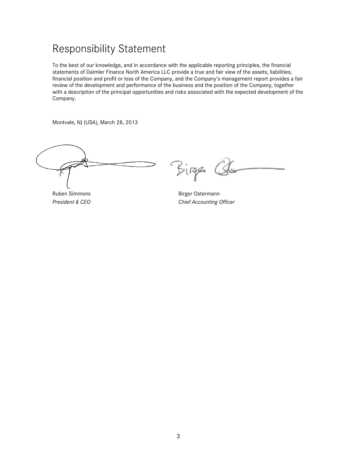# Responsibility Statement

To the best of our knowledge, and in accordance with the applicable reporting principles, the financial statements of Daimler Finance North America LLC provide a true and fair view of the assets, liabilities, financial position and profit or loss of the Company, and the Company's management report provides a fair review of the development and performance of the business and the position of the Company, together with a description of the principal opportunities and risks associated with the expected development of the Company.

Montvale, NJ (USA), March 28, 2013

Birger Qu

Ruben Simmons and Birger Ostermann **President & CEO** Chief Accounting Officer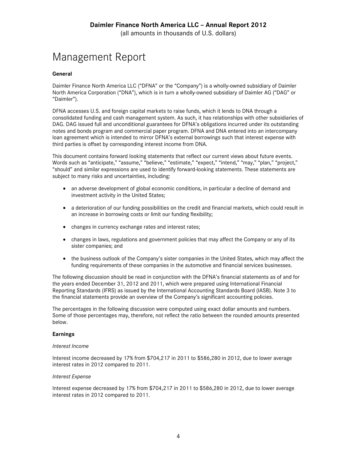(all amounts in thousands of U.S. dollars)

# Management Report

### **General**

Daimler Finance North America LLC ("DFNA" or the "Company") is a wholly-owned subsidiary of Daimler North America Corporation ("DNA"), which is in turn a wholly-owned subsidiary of Daimler AG ("DAG" or "Daimler").

DFNA accesses U.S. and foreign capital markets to raise funds, which it lends to DNA through a consolidated funding and cash management system. As such, it has relationships with other subsidiaries of DAG. DAG issued full and unconditional guarantees for DFNA's obligations incurred under its outstanding notes and bonds program and commercial paper program. DFNA and DNA entered into an intercompany loan agreement which is intended to mirror DFNA's external borrowings such that interest expense with third parties is offset by corresponding interest income from DNA.

This document contains forward looking statements that reflect our current views about future events. Words such as "anticipate," "assume," "believe," "estimate," "expect," "intend," "may," "plan," "project," "should" and similar expressions are used to identify forward-looking statements. These statements are subject to many risks and uncertainties, including:

- an adverse development of global economic conditions, in particular a decline of demand and investment activity in the United States;
- a deterioration of our funding possibilities on the credit and financial markets, which could result in an increase in borrowing costs or limit our funding flexibility;
- changes in currency exchange rates and interest rates;
- changes in laws, regulations and government policies that may affect the Company or any of its sister companies; and
- the business outlook of the Company's sister companies in the United States, which may affect the funding requirements of these companies in the automotive and financial services businesses.

The following discussion should be read in conjunction with the DFNA's financial statements as of and for the years ended December 31, 2012 and 2011, which were prepared using International Financial Reporting Standards (IFRS) as issued by the International Accounting Standards Board (IASB). Note 3 to the financial statements provide an overview of the Company's significant accounting policies.

The percentages in the following discussion were computed using exact dollar amounts and numbers. Some of those percentages may, therefore, not reflect the ratio between the rounded amounts presented below.

#### **Earnings**

#### *Interest Income*

Interest income decreased by 17% from \$704,217 in 2011 to \$586,280 in 2012, due to lower average interest rates in 2012 compared to 2011.

#### *Interest Expense*

Interest expense decreased by 17% from \$704,217 in 2011 to \$586,280 in 2012, due to lower average interest rates in 2012 compared to 2011.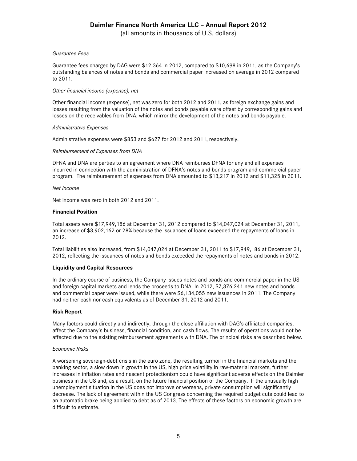(all amounts in thousands of U.S. dollars)

#### *Guarantee Fees*

Guarantee fees charged by DAG were \$12,364 in 2012, compared to \$10,698 in 2011, as the Company's outstanding balances of notes and bonds and commercial paper increased on average in 2012 compared to 2011.

#### *Other financial income (expense), net*

Other financial income (expense), net was zero for both 2012 and 2011, as foreign exchange gains and losses resulting from the valuation of the notes and bonds payable were offset by corresponding gains and losses on the receivables from DNA, which mirror the development of the notes and bonds payable.

#### *Administrative Expenses*

Administrative expenses were \$853 and \$627 for 2012 and 2011, respectively.

#### *Reimbursement of Expenses from DNA*

DFNA and DNA are parties to an agreement where DNA reimburses DFNA for any and all expenses incurred in connection with the administration of DFNA's notes and bonds program and commercial paper program. The reimbursement of expenses from DNA amounted to \$13,217 in 2012 and \$11,325 in 2011.

#### *Net Income*

Net income was zero in both 2012 and 2011.

#### **Financial Position**

Total assets were \$17,949,186 at December 31, 2012 compared to \$14,047,024 at December 31, 2011, an increase of \$3,902,162 or 28% because the issuances of loans exceeded the repayments of loans in 2012.

Total liabilities also increased, from \$14,047,024 at December 31, 2011 to \$17,949,186 at December 31, 2012, reflecting the issuances of notes and bonds exceeded the repayments of notes and bonds in 2012.

#### **Liquidity and Capital Resources**

In the ordinary course of business, the Company issues notes and bonds and commercial paper in the US and foreign capital markets and lends the proceeds to DNA. In 2012, \$7,376,241 new notes and bonds and commercial paper were issued, while there were \$6,134,055 new issuances in 2011. The Company had neither cash nor cash equivalents as of December 31, 2012 and 2011.

#### **Risk Report**

Many factors could directly and indirectly, through the close affiliation with DAG's affiliated companies, affect the Company's business, financial condition, and cash flows. The results of operations would not be affected due to the existing reimbursement agreements with DNA. The principal risks are described below.

#### *Economic Risks*

A worsening sovereign-debt crisis in the euro zone, the resulting turmoil in the financial markets and the banking sector, a slow down in growth in the US, high price volatility in raw-material markets, further increases in inflation rates and nascent protectionism could have significant adverse effects on the Daimler business in the US and, as a result, on the future financial position of the Company. If the unusually high unemployment situation in the US does not improve or worsens, private consumption will significantly decrease. The lack of agreement within the US Congress concerning the required budget cuts could lead to an automatic brake being applied to debt as of 2013. The effects of these factors on economic growth are difficult to estimate.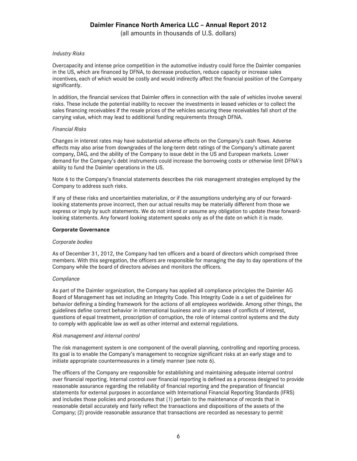(all amounts in thousands of U.S. dollars)

#### *Industry Risks*

Overcapacity and intense price competition in the automotive industry could force the Daimler companies in the US, which are financed by DFNA, to decrease production, reduce capacity or increase sales incentives, each of which would be costly and would indirectly affect the financial position of the Company significantly.

In addition, the financial services that Daimler offers in connection with the sale of vehicles involve several risks. These include the potential inability to recover the investments in leased vehicles or to collect the sales financing receivables if the resale prices of the vehicles securing these receivables fall short of the carrying value, which may lead to additional funding requirements through DFNA.

#### *Financial Risks*

Changes in interest rates may have substantial adverse effects on the Company's cash flows. Adverse effects may also arise from downgrades of the long-term debt ratings of the Company's ultimate parent company, DAG, and the ability of the Company to issue debt in the US and European markets. Lower demand for the Company's debt instruments could increase the borrowing costs or otherwise limit DFNA's ability to fund the Daimler operations in the US.

Note 6 to the Company's financial statements describes the risk management strategies employed by the Company to address such risks.

If any of these risks and uncertainties materialize, or if the assumptions underlying any of our forwardlooking statements prove incorrect, then our actual results may be materially different from those we express or imply by such statements. We do not intend or assume any obligation to update these forwardlooking statements. Any forward looking statement speaks only as of the date on which it is made.

#### **Corporate Governance**

#### *Corporate bodies*

As of December 31, 2012, the Company had ten officers and a board of directors which comprised three members. With this segregation, the officers are responsible for managing the day to day operations of the Company while the board of directors advises and monitors the officers.

#### *Compliance*

As part of the Daimler organization, the Company has applied all compliance principles the Daimler AG Board of Management has set including an Integrity Code. This Integrity Code is a set of guidelines for behavior defining a binding framework for the actions of all employees worldwide. Among other things, the guidelines define correct behavior in international business and in any cases of conflicts of interest, questions of equal treatment, proscription of corruption, the role of internal control systems and the duty to comply with applicable law as well as other internal and external regulations.

#### *Risk management and internal control*

The risk management system is one component of the overall planning, controlling and reporting process. Its goal is to enable the Company's management to recognize significant risks at an early stage and to initiate appropriate countermeasures in a timely manner (see note 6).

The officers of the Company are responsible for establishing and maintaining adequate internal control over financial reporting. Internal control over financial reporting is defined as a process designed to provide reasonable assurance regarding the reliability of financial reporting and the preparation of financial statements for external purposes in accordance with International Financial Reporting Standards (IFRS) and includes those policies and procedures that (1) pertain to the maintenance of records that in reasonable detail accurately and fairly reflect the transactions and dispositions of the assets of the Company; (2) provide reasonable assurance that transactions are recorded as necessary to permit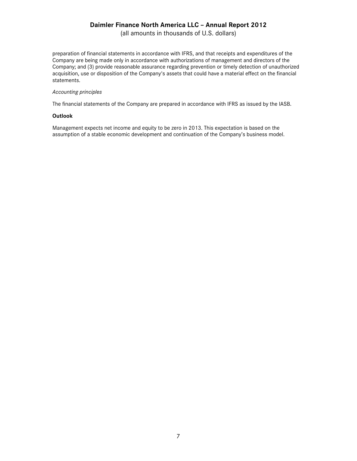(all amounts in thousands of U.S. dollars)

preparation of financial statements in accordance with IFRS, and that receipts and expenditures of the Company are being made only in accordance with authorizations of management and directors of the Company; and (3) provide reasonable assurance regarding prevention or timely detection of unauthorized acquisition, use or disposition of the Company's assets that could have a material effect on the financial statements.

#### *Accounting principles*

The financial statements of the Company are prepared in accordance with IFRS as issued by the IASB.

#### **Outlook**

Management expects net income and equity to be zero in 2013. This expectation is based on the assumption of a stable economic development and continuation of the Company's business model.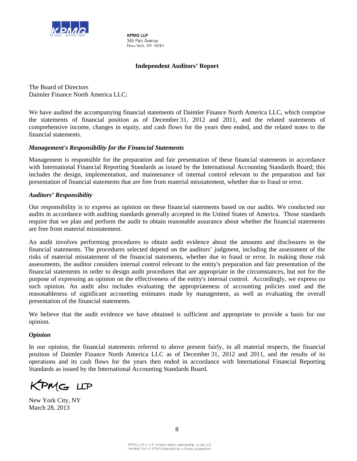

**KPMG LLP** 345 Park Avenue New York, NY 10154

### **Independent Auditors' Report**

The Board of Directors Daimler Finance North America LLC:

We have audited the accompanying financial statements of Daimler Finance North America LLC, which comprise the statements of financial position as of December 31, 2012 and 2011, and the related statements of comprehensive income, changes in equity, and cash flows for the years then ended, and the related notes to the financial statements.

# *Management's Responsibility for the Financial Statements*

Management is responsible for the preparation and fair presentation of these financial statements in accordance with International Financial Reporting Standards as issued by the International Accounting Standards Board; this includes the design, implementation, and maintenance of internal control relevant to the preparation and fair presentation of financial statements that are free from material misstatement, whether due to fraud or error.

### *Auditors' Responsibility*

Our responsibility is to express an opinion on these financial statements based on our audits. We conducted our audits in accordance with auditing standards generally accepted in the United States of America. Those standards require that we plan and perform the audit to obtain reasonable assurance about whether the financial statements are free from material misstatement.

An audit involves performing procedures to obtain audit evidence about the amounts and disclosures in the financial statements. The procedures selected depend on the auditors' judgment, including the assessment of the risks of material misstatement of the financial statements, whether due to fraud or error. In making those risk assessments, the auditor considers internal control relevant to the entity's preparation and fair presentation of the financial statements in order to design audit procedures that are appropriate in the circumstances, but not for the purpose of expressing an opinion on the effectiveness of the entity's internal control. Accordingly, we express no such opinion. An audit also includes evaluating the appropriateness of accounting policies used and the reasonableness of significant accounting estimates made by management, as well as evaluating the overall presentation of the financial statements.

We believe that the audit evidence we have obtained is sufficient and appropriate to provide a basis for our opinion.

# *Opinion*

In our opinion, the financial statements referred to above present fairly, in all material respects, the financial position of Daimler Finance North America LLC as of December 31, 2012 and 2011, and the results of its operations and its cash flows for the years then ended in accordance with International Financial Reporting Standards as issued by the International Accounting Standards Board.

KPMG LLP

New York City, NY March 28, 2013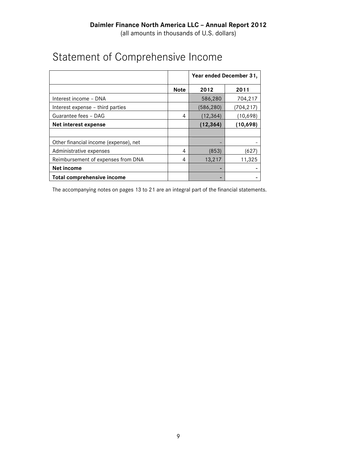|                                       |             | Year ended December 31, |            |  |
|---------------------------------------|-------------|-------------------------|------------|--|
|                                       | <b>Note</b> | 2012                    | 2011       |  |
| Interest income - DNA                 |             | 586,280                 | 704,217    |  |
| Interest expense – third parties      |             | (586,280)               | (704, 217) |  |
| Guarantee fees - DAG                  | 4           | (12, 364)               | (10, 698)  |  |
| Net interest expense                  |             | (12, 364)               | (10, 698)  |  |
|                                       |             |                         |            |  |
| Other financial income (expense), net |             |                         |            |  |
| Administrative expenses               | 4           | (853)                   | (627)      |  |
| Reimbursement of expenses from DNA    | 4           | 13,217                  | 11,325     |  |
| Net income                            |             |                         |            |  |
| <b>Total comprehensive income</b>     |             |                         |            |  |

# Statement of Comprehensive Income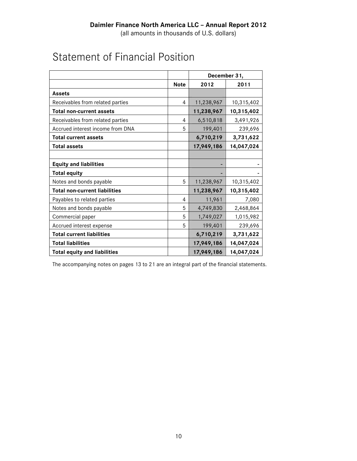|                                      |             |            | December 31, |
|--------------------------------------|-------------|------------|--------------|
|                                      | <b>Note</b> | 2012       | 2011         |
| <b>Assets</b>                        |             |            |              |
| Receivables from related parties     | 4           | 11,238,967 | 10,315,402   |
| <b>Total non-current assets</b>      |             | 11,238,967 | 10,315,402   |
| Receivables from related parties     | 4           | 6,510,818  | 3,491,926    |
| Accrued interest income from DNA     | 5           | 199,401    | 239,696      |
| <b>Total current assets</b>          |             | 6,710,219  | 3,731,622    |
| <b>Total assets</b>                  |             | 17,949,186 | 14,047,024   |
|                                      |             |            |              |
| <b>Equity and liabilities</b>        |             |            |              |
| <b>Total equity</b>                  |             |            |              |
| Notes and bonds payable              | 5           | 11,238,967 | 10,315,402   |
| <b>Total non-current liabilities</b> |             | 11,238,967 | 10,315,402   |
| Payables to related parties          | 4           | 11,961     | 7,080        |
| Notes and bonds payable              | 5           | 4,749,830  | 2,468,864    |
| Commercial paper                     | 5           | 1,749,027  | 1,015,982    |
| Accrued interest expense             | 5           | 199,401    | 239,696      |
| <b>Total current liabilities</b>     |             | 6,710,219  | 3,731,622    |
| <b>Total liabilities</b>             |             | 17,949,186 | 14,047,024   |
| <b>Total equity and liabilities</b>  |             | 17,949,186 | 14,047,024   |

# Statement of Financial Position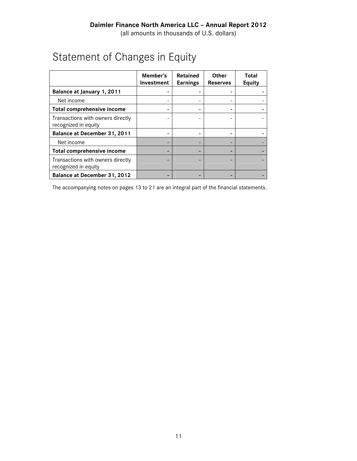# Statement of Changes in Equity

|                                                           | Member's<br>Investment | Retained<br><b>Earnings</b> | <b>Other</b><br><b>Reserves</b> | Total<br><b>Equity</b> |
|-----------------------------------------------------------|------------------------|-----------------------------|---------------------------------|------------------------|
| Balance at January 1, 2011                                |                        |                             |                                 |                        |
| Net income                                                |                        |                             |                                 |                        |
| <b>Total comprehensive income</b>                         |                        |                             |                                 |                        |
| Transactions with owners directly<br>recognized in equity |                        |                             |                                 |                        |
| Balance at December 31, 2011                              |                        |                             |                                 |                        |
| Net income                                                |                        |                             |                                 |                        |
| <b>Total comprehensive income</b>                         |                        |                             |                                 |                        |
| Transactions with owners directly<br>recognized in equity |                        |                             |                                 |                        |
| <b>Balance at December 31, 2012</b>                       |                        |                             |                                 |                        |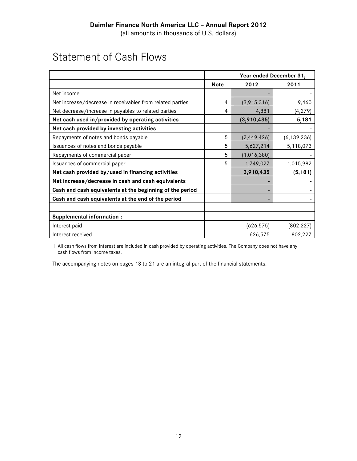# Statement of Cash Flows

|                                                           |             | Year ended December 31, |               |
|-----------------------------------------------------------|-------------|-------------------------|---------------|
|                                                           | <b>Note</b> | 2012                    | 2011          |
| Net income                                                |             |                         |               |
| Net increase/decrease in receivables from related parties | 4           | (3,915,316)             | 9,460         |
| Net decrease/increase in payables to related parties      | 4           | 4,881                   | (4, 279)      |
| Net cash used in/provided by operating activities         |             | (3,910,435)             | 5,181         |
| Net cash provided by investing activities                 |             |                         |               |
| Repayments of notes and bonds payable                     | 5           | (2,449,426)             | (6, 139, 236) |
| Issuances of notes and bonds payable                      | 5           | 5,627,214               | 5,118,073     |
| Repayments of commercial paper                            | 5           | (1,016,380)             |               |
| Issuances of commercial paper                             | 5           | 1,749,027               | 1,015,982     |
| Net cash provided by/used in financing activities         |             | 3,910,435               | (5, 181)      |
| Net increase/decrease in cash and cash equivalents        |             |                         |               |
| Cash and cash equivalents at the beginning of the period  |             |                         |               |
| Cash and cash equivalents at the end of the period        |             |                         |               |
|                                                           |             |                         |               |
| Supplemental information <sup>1</sup> :                   |             |                         |               |
| Interest paid                                             |             | (626, 575)              | (802, 227)    |
| Interest received                                         |             | 626,575                 | 802,227       |

1 All cash flows from interest are included in cash provided by operating activities. The Company does not have any cash flows from income taxes.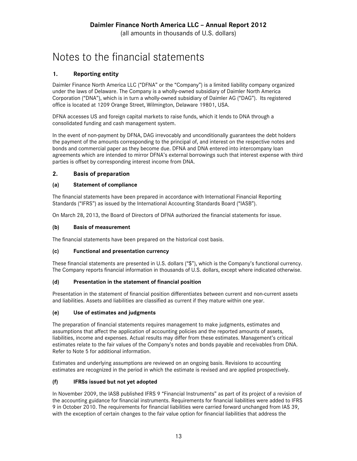# Notes to the financial statements

# **1. Reporting entity**

Daimler Finance North America LLC ("DFNA" or the "Company") is a limited liability company organized under the laws of Delaware. The Company is a wholly-owned subsidiary of Daimler North America Corporation ("DNA"), which is in turn a wholly-owned subsidiary of Daimler AG ("DAG"). Its registered office is located at 1209 Orange Street, Wilmington, Delaware 19801, USA.

DFNA accesses US and foreign capital markets to raise funds, which it lends to DNA through a consolidated funding and cash management system.

In the event of non-payment by DFNA, DAG irrevocably and unconditionally guarantees the debt holders the payment of the amounts corresponding to the principal of, and interest on the respective notes and bonds and commercial paper as they become due. DFNA and DNA entered into intercompany loan agreements which are intended to mirror DFNA's external borrowings such that interest expense with third parties is offset by corresponding interest income from DNA.

# **2. Basis of preparation**

# **(a) Statement of compliance**

The financial statements have been prepared in accordance with International Financial Reporting Standards ("IFRS") as issued by the International Accounting Standards Board ("IASB").

On March 28, 2013, the Board of Directors of DFNA authorized the financial statements for issue.

# **(b) Basis of measurement**

The financial statements have been prepared on the historical cost basis.

# **(c) Functional and presentation currency**

These financial statements are presented in U.S. dollars ("\$"), which is the Company's functional currency. The Company reports financial information in thousands of U.S. dollars, except where indicated otherwise.

# **(d) Presentation in the statement of financial position**

Presentation in the statement of financial position differentiates between current and non-current assets and liabilities. Assets and liabilities are classified as current if they mature within one year.

# **(e) Use of estimates and judgments**

The preparation of financial statements requires management to make judgments, estimates and assumptions that affect the application of accounting policies and the reported amounts of assets, liabilities, income and expenses. Actual results may differ from these estimates. Management's critical estimates relate to the fair values of the Company's notes and bonds payable and receivables from DNA. Refer to Note 5 for additional information.

Estimates and underlying assumptions are reviewed on an ongoing basis. Revisions to accounting estimates are recognized in the period in which the estimate is revised and are applied prospectively.

# **(f) IFRSs issued but not yet adopted**

In November 2009, the IASB published IFRS 9 "Financial Instruments" as part of its project of a revision of the accounting guidance for financial instruments. Requirements for financial liabilities were added to IFRS 9 in October 2010. The requirements for financial liabilities were carried forward unchanged from IAS 39, with the exception of certain changes to the fair value option for financial liabilities that address the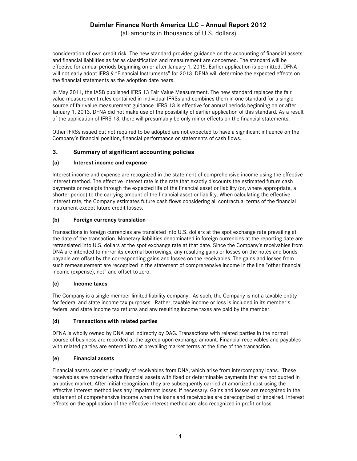(all amounts in thousands of U.S. dollars)

consideration of own credit risk. The new standard provides guidance on the accounting of financial assets and financial liabilities as far as classification and measurement are concerned. The standard will be effective for annual periods beginning on or after January 1, 2015. Earlier application is permitted. DFNA will not early adopt IFRS 9 "Financial Instruments" for 2013. DFNA will determine the expected effects on the financial statements as the adoption date nears.

In May 2011, the IASB published IFRS 13 Fair Value Measurement. The new standard replaces the fair value measurement rules contained in individual IFRSs and combines them in one standard for a single source of fair value measurement guidance. IFRS 13 is effective for annual periods beginning on or after January 1, 2013. DFNA did not make use of the possibility of earlier application of this standard. As a result of the application of IFRS 13, there will presumably be only minor effects on the financial statements.

Other IFRSs issued but not required to be adopted are not expected to have a significant influence on the Company's financial position, financial performance or statements of cash flows.

# **3. Summary of significant accounting policies**

### **(a) Interest income and expense**

Interest income and expense are recognized in the statement of comprehensive income using the effective interest method. The effective interest rate is the rate that exactly discounts the estimated future cash payments or receipts through the expected life of the financial asset or liability (or, where appropriate, a shorter period) to the carrying amount of the financial asset or liability. When calculating the effective interest rate, the Company estimates future cash flows considering all contractual terms of the financial instrument except future credit losses.

### **(b) Foreign currency translation**

Transactions in foreign currencies are translated into U.S. dollars at the spot exchange rate prevailing at the date of the transaction. Monetary liabilities denominated in foreign currencies at the reporting date are retranslated into U.S. dollars at the spot exchange rate at that date. Since the Company's receivables from DNA are intended to mirror its external borrowings, any resulting gains or losses on the notes and bonds payable are offset by the corresponding gains and losses on the receivables. The gains and losses from such remeasurement are recognized in the statement of comprehensive income in the line "other financial income (expense), net" and offset to zero.

#### **(c) Income taxes**

The Company is a single member limited liability company. As such, the Company is not a taxable entity for federal and state income tax purposes. Rather, taxable income or loss is included in its member's federal and state income tax returns and any resulting income taxes are paid by the member.

# **(d) Transactions with related parties**

DFNA is wholly owned by DNA and indirectly by DAG. Transactions with related parties in the normal course of business are recorded at the agreed upon exchange amount. Financial receivables and payables with related parties are entered into at prevailing market terms at the time of the transaction.

# **(e) Financial assets**

Financial assets consist primarily of receivables from DNA, which arise from intercompany loans. These receivables are non-derivative financial assets with fixed or determinable payments that are not quoted in an active market. After initial recognition, they are subsequently carried at amortized cost using the effective interest method less any impairment losses, if necessary. Gains and losses are recognized in the statement of comprehensive income when the loans and receivables are derecognized or impaired. Interest effects on the application of the effective interest method are also recognized in profit or loss.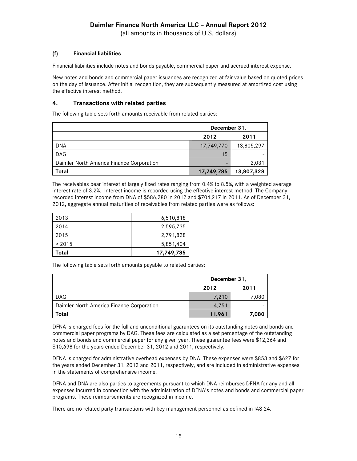(all amounts in thousands of U.S. dollars)

### **(f) Financial liabilities**

Financial liabilities include notes and bonds payable, commercial paper and accrued interest expense.

New notes and bonds and commercial paper issuances are recognized at fair value based on quoted prices on the day of issuance. After initial recognition, they are subsequently measured at amortized cost using the effective interest method.

## **4. Transactions with related parties**

The following table sets forth amounts receivable from related parties:

|                                           | December 31, |            |  |
|-------------------------------------------|--------------|------------|--|
|                                           | 2011<br>2012 |            |  |
| <b>DNA</b>                                | 17,749,770   | 13,805,297 |  |
| <b>DAG</b>                                | 15           |            |  |
| Daimler North America Finance Corporation |              | 2,031      |  |
| Total                                     | 17,749,785   | 13,807,328 |  |

The receivables bear interest at largely fixed rates ranging from 0.4% to 8.5%, with a weighted average interest rate of 3.2%. Interest income is recorded using the effective interest method. The Company recorded interest income from DNA of \$586,280 in 2012 and \$704,217 in 2011. As of December 31, 2012, aggregate annual maturities of receivables from related parties were as follows:

| Total  | 17,749,785 |
|--------|------------|
| > 2015 | 5,851,404  |
| 2015   | 2,791,828  |
| 2014   | 2,595,735  |
| 2013   | 6,510,818  |

The following table sets forth amounts payable to related parties:

|                                           | December 31  |       |  |
|-------------------------------------------|--------------|-------|--|
|                                           | 2012<br>2011 |       |  |
| <b>DAG</b>                                | 7.210        | 7.080 |  |
| Daimler North America Finance Corporation | 4.751        |       |  |
| Total                                     | 11.961       | 7.080 |  |

DFNA is charged fees for the full and unconditional guarantees on its outstanding notes and bonds and commercial paper programs by DAG. These fees are calculated as a set percentage of the outstanding notes and bonds and commercial paper for any given year. These guarantee fees were \$12,364 and \$10,698 for the years ended December 31, 2012 and 2011, respectively.

DFNA is charged for administrative overhead expenses by DNA. These expenses were \$853 and \$627 for the years ended December 31, 2012 and 2011, respectively, and are included in administrative expenses in the statements of comprehensive income.

DFNA and DNA are also parties to agreements pursuant to which DNA reimburses DFNA for any and all expenses incurred in connection with the administration of DFNA's notes and bonds and commercial paper programs. These reimbursements are recognized in income.

There are no related party transactions with key management personnel as defined in IAS 24.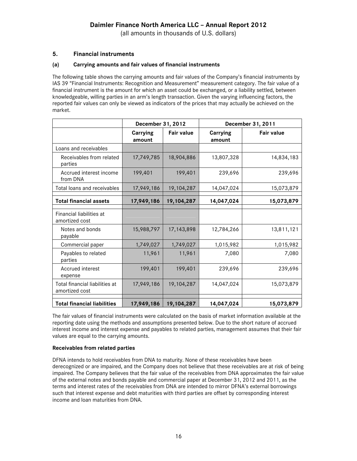(all amounts in thousands of U.S. dollars)

# **5. Financial instruments**

### **(a) Carrying amounts and fair values of financial instruments**

The following table shows the carrying amounts and fair values of the Company's financial instruments by IAS 39 "Financial Instruments: Recognition and Measurement" measurement category. The fair value of a financial instrument is the amount for which an asset could be exchanged, or a liability settled, between knowledgeable, willing parties in an arm's length transaction. Given the varying influencing factors, the reported fair values can only be viewed as indicators of the prices that may actually be achieved on the market.

|                                                  | December 31, 2012         |                   | December 31, 2011  |                   |  |
|--------------------------------------------------|---------------------------|-------------------|--------------------|-------------------|--|
|                                                  | <b>Carrying</b><br>amount | <b>Fair value</b> | Carrying<br>amount | <b>Fair value</b> |  |
| Loans and receivables                            |                           |                   |                    |                   |  |
| Receivables from related<br>parties              | 17,749,785                | 18,904,886        | 13,807,328         | 14,834,183        |  |
| Accrued interest income<br>from DNA              | 199,401                   | 199,401           | 239,696            | 239,696           |  |
| Total loans and receivables                      | 17,949,186                | 19,104,287        | 14,047,024         | 15,073,879        |  |
| <b>Total financial assets</b>                    | 17,949,186                | 19,104,287        | 14,047,024         | 15,073,879        |  |
| Financial liabilities at<br>amortized cost       |                           |                   |                    |                   |  |
| Notes and bonds<br>payable                       | 15,988,797                | 17, 143, 898      | 12,784,266         | 13,811,121        |  |
| Commercial paper                                 | 1,749,027                 | 1,749,027         | 1,015,982          | 1,015,982         |  |
| Payables to related<br>parties                   | 11,961                    | 11,961            | 7,080              | 7,080             |  |
| Accrued interest<br>expense                      | 199,401                   | 199,401           | 239,696            | 239,696           |  |
| Total financial liabilities at<br>amortized cost | 17,949,186                | 19,104,287        | 14,047,024         | 15,073,879        |  |
| <b>Total financial liabilities</b>               | 17,949,186                | 19,104,287        | 14,047,024         | 15,073,879        |  |

The fair values of financial instruments were calculated on the basis of market information available at the reporting date using the methods and assumptions presented below. Due to the short nature of accrued interest income and interest expense and payables to related parties, management assumes that their fair values are equal to the carrying amounts.

#### **Receivables from related parties**

DFNA intends to hold receivables from DNA to maturity. None of these receivables have been derecognized or are impaired, and the Company does not believe that these receivables are at risk of being impaired. The Company believes that the fair value of the receivables from DNA approximates the fair value of the external notes and bonds payable and commercial paper at December 31, 2012 and 2011, as the terms and interest rates of the receivables from DNA are intended to mirror DFNA's external borrowings such that interest expense and debt maturities with third parties are offset by corresponding interest income and loan maturities from DNA.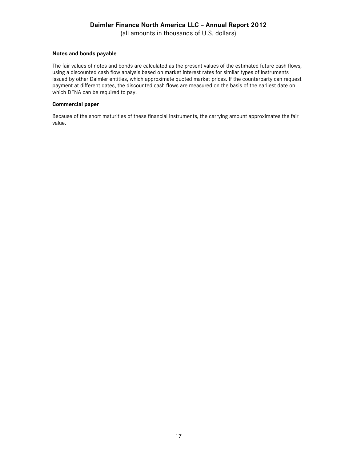(all amounts in thousands of U.S. dollars)

#### **Notes and bonds payable**

The fair values of notes and bonds are calculated as the present values of the estimated future cash flows, using a discounted cash flow analysis based on market interest rates for similar types of instruments issued by other Daimler entities, which approximate quoted market prices. If the counterparty can request payment at different dates, the discounted cash flows are measured on the basis of the earliest date on which DFNA can be required to pay.

#### **Commercial paper**

Because of the short maturities of these financial instruments, the carrying amount approximates the fair value.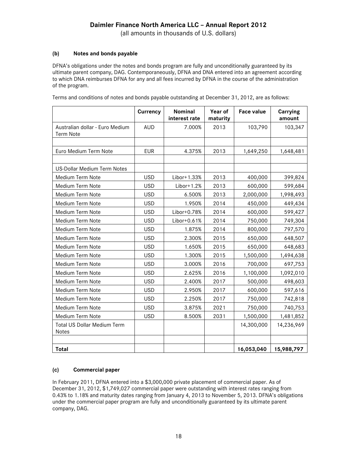(all amounts in thousands of U.S. dollars)

### **(b) Notes and bonds payable**

DFNA's obligations under the notes and bonds program are fully and unconditionally guaranteed by its ultimate parent company, DAG. Contemporaneously, DFNA and DNA entered into an agreement according to which DNA reimburses DFNA for any and all fees incurred by DFNA in the course of the administration of the program.

Terms and conditions of notes and bonds payable outstanding at December 31, 2012, are as follows:

|                                                     | <b>Currency</b> | <b>Nominal</b><br>Year of<br><b>Face value</b><br>interest rate<br>maturity |      | Carrying<br>amount |            |
|-----------------------------------------------------|-----------------|-----------------------------------------------------------------------------|------|--------------------|------------|
| Australian dollar - Euro Medium<br><b>Term Note</b> | <b>AUD</b>      | 7.000%                                                                      | 2013 | 103,790            | 103,347    |
|                                                     |                 |                                                                             |      |                    |            |
| Euro Medium Term Note                               | <b>EUR</b>      | 4.375%                                                                      | 2013 | 1,649,250          | 1,648,481  |
|                                                     |                 |                                                                             |      |                    |            |
| <b>US-Dollar Medium Term Notes</b>                  |                 |                                                                             |      |                    |            |
| Medium Term Note                                    | <b>USD</b>      | Libor+1.33%                                                                 | 2013 | 400,000            | 399,824    |
| Medium Term Note                                    | <b>USD</b>      | Libor+1.2%                                                                  | 2013 | 600,000            | 599,684    |
| Medium Term Note                                    | <b>USD</b>      | 6.500%                                                                      | 2013 | 2,000,000          | 1,998,493  |
| Medium Term Note                                    | <b>USD</b>      | 1.950%                                                                      | 2014 | 450,000            | 449,434    |
| Medium Term Note                                    | <b>USD</b>      | Libor+0.78%                                                                 | 2014 | 600,000            | 599,427    |
| Medium Term Note                                    | <b>USD</b>      | Libor+0.61%                                                                 | 2014 | 750,000            | 749,304    |
| Medium Term Note                                    | <b>USD</b>      | 1.875%                                                                      | 2014 | 800,000            | 797,570    |
| Medium Term Note                                    | <b>USD</b>      | 2.300%                                                                      | 2015 | 650,000            | 648,507    |
| Medium Term Note                                    | <b>USD</b>      | 1.650%                                                                      | 2015 | 650,000            | 648,683    |
| Medium Term Note                                    | <b>USD</b>      | 1.300%                                                                      | 2015 | 1,500,000          | 1,494,638  |
| Medium Term Note                                    | <b>USD</b>      | 3.000%                                                                      | 2016 | 700,000            | 697,753    |
| Medium Term Note                                    | <b>USD</b>      | 2.625%                                                                      | 2016 | 1,100,000          | 1,092,010  |
| Medium Term Note                                    | <b>USD</b>      | 2.400%                                                                      | 2017 | 500,000            | 498,603    |
| Medium Term Note                                    | <b>USD</b>      | 2.950%                                                                      | 2017 | 600,000            | 597,616    |
| Medium Term Note                                    | <b>USD</b>      | 2.250%                                                                      | 2017 | 750,000            | 742,818    |
| Medium Term Note                                    | <b>USD</b>      | 3.875%                                                                      | 2021 | 750,000            | 740,753    |
| Medium Term Note                                    | <b>USD</b>      | 8.500%                                                                      | 2031 | 1,500,000          | 1,481,852  |
| <b>Total US Dollar Medium Term</b><br><b>Notes</b>  |                 |                                                                             |      | 14,300,000         | 14,236,969 |
|                                                     |                 |                                                                             |      |                    |            |
| Total                                               |                 |                                                                             |      | 16,053,040         | 15,988,797 |

# **(c) Commercial paper**

In February 2011, DFNA entered into a \$3,000,000 private placement of commercial paper. As of December 31, 2012, \$1,749,027 commercial paper were outstanding with interest rates ranging from 0.43% to 1.18% and maturity dates ranging from January 4, 2013 to November 5, 2013. DFNA's obligations under the commercial paper program are fully and unconditionally guaranteed by its ultimate parent company, DAG.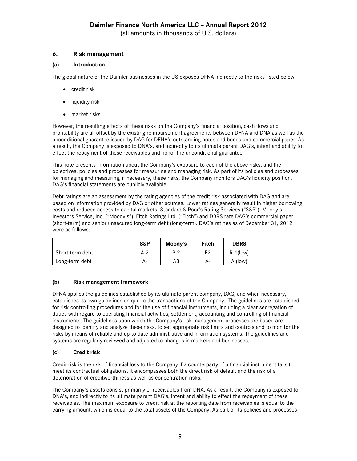(all amounts in thousands of U.S. dollars)

# **6. Risk management**

## **(a) Introduction**

The global nature of the Daimler businesses in the US exposes DFNA indirectly to the risks listed below:

- credit risk
- liquidity risk
- market risks

However, the resulting effects of these risks on the Company's financial position, cash flows and profitability are all offset by the existing reimbursement agreements between DFNA and DNA as well as the unconditional guarantee issued by DAG for DFNA's outstanding notes and bonds and commercial paper. As a result, the Company is exposed to DNA's, and indirectly to its ultimate parent DAG's, intent and ability to effect the repayment of these receivables and honor the unconditional guarantee.

This note presents information about the Company's exposure to each of the above risks, and the objectives, policies and processes for measuring and managing risk. As part of its policies and processes for managing and measuring, if necessary, these risks, the Company monitors DAG's liquidity position. DAG's financial statements are publicly available.

Debt ratings are an assessment by the rating agencies of the credit risk associated with DAG and are based on information provided by DAG or other sources. Lower ratings generally result in higher borrowing costs and reduced access to capital markets. Standard & Poor's Rating Services ("S&P"), Moody's Investors Service, Inc. ("Moody's"), Fitch Ratings Ltd. ("Fitch") and DBRS rate DAG's commercial paper (short-term) and senior unsecured long-term debt (long-term). DAG's ratings as of December 31, 2012 were as follows:

|                 | S&P | Moody's | <b>Fitch</b> | <b>DBRS</b> |
|-----------------|-----|---------|--------------|-------------|
| Short-term debt | A-2 | P-2     | Fク           | $R-1$ (low) |
| Long-term debt  | А-  | AЗ      | д-           | (low)       |

#### **(b) Risk management framework**

DFNA applies the guidelines established by its ultimate parent company, DAG, and when necessary, establishes its own guidelines unique to the transactions of the Company. The guidelines are established for risk controlling procedures and for the use of financial instruments, including a clear segregation of duties with regard to operating financial activities, settlement, accounting and controlling of financial instruments. The guidelines upon which the Company's risk management processes are based are designed to identify and analyze these risks, to set appropriate risk limits and controls and to monitor the risks by means of reliable and up-to-date administrative and information systems. The guidelines and systems are regularly reviewed and adjusted to changes in markets and businesses.

#### **(c) Credit risk**

Credit risk is the risk of financial loss to the Company if a counterparty of a financial instrument fails to meet its contractual obligations. It encompasses both the direct risk of default and the risk of a deterioration of creditworthiness as well as concentration risks.

The Company's assets consist primarily of receivables from DNA. As a result, the Company is exposed to DNA's, and indirectly to its ultimate parent DAG's, intent and ability to effect the repayment of these receivables. The maximum exposure to credit risk at the reporting date from receivables is equal to the carrying amount, which is equal to the total assets of the Company. As part of its policies and processes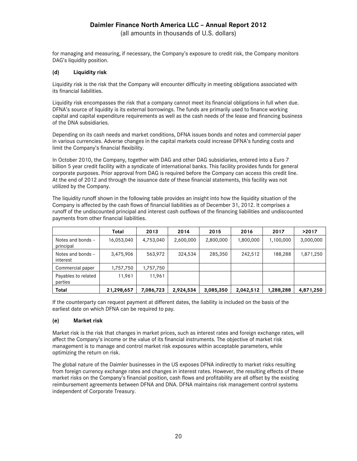(all amounts in thousands of U.S. dollars)

for managing and measuring, if necessary, the Company's exposure to credit risk, the Company monitors DAG's liquidity position.

### **(d) Liquidity risk**

Liquidity risk is the risk that the Company will encounter difficulty in meeting obligations associated with its financial liabilities.

Liquidity risk encompasses the risk that a company cannot meet its financial obligations in full when due. DFNA's source of liquidity is its external borrowings. The funds are primarily used to finance working capital and capital expenditure requirements as well as the cash needs of the lease and financing business of the DNA subsidiaries.

Depending on its cash needs and market conditions, DFNA issues bonds and notes and commercial paper in various currencies. Adverse changes in the capital markets could increase DFNA's funding costs and limit the Company's financial flexibility.

In October 2010, the Company, together with DAG and other DAG subsidiaries, entered into a Euro 7 billion 5 year credit facility with a syndicate of international banks. This facility provides funds for general corporate purposes. Prior approval from DAG is required before the Company can access this credit line. At the end of 2012 and through the issuance date of these financial statements, this facility was not utilized by the Company.

The liquidity runoff shown in the following table provides an insight into how the liquidity situation of the Company is affected by the cash flows of financial liabilities as of December 31, 2012. It comprises a runoff of the undiscounted principal and interest cash outflows of the financing liabilities and undiscounted payments from other financial liabilities.

|                                | Total      | 2013      | 2014      | 2015      | 2016      | 2017      | >2017     |
|--------------------------------|------------|-----------|-----------|-----------|-----------|-----------|-----------|
| Notes and bonds -<br>principal | 16,053,040 | 4,753,040 | 2,600,000 | 2,800,000 | 1,800,000 | 1,100,000 | 3,000,000 |
| Notes and bonds -<br>interest  | 3,475,906  | 563,972   | 324,534   | 285,350   | 242,512   | 188,288   | 1,871,250 |
| Commercial paper               | 1,757,750  | 1,757,750 |           |           |           |           |           |
| Payables to related<br>parties | 11,961     | 11,961    |           |           |           |           |           |
| Total                          | 21,298,657 | 7.086.723 | 2,924,534 | 3,085,350 | 2,042,512 | 1,288,288 | 4,871,250 |

If the counterparty can request payment at different dates, the liability is included on the basis of the earliest date on which DFNA can be required to pay.

#### **(e) Market risk**

Market risk is the risk that changes in market prices, such as interest rates and foreign exchange rates, will affect the Company's income or the value of its financial instruments. The objective of market risk management is to manage and control market risk exposures within acceptable parameters, while optimizing the return on risk.

The global nature of the Daimler businesses in the US exposes DFNA indirectly to market risks resulting from foreign currency exchange rates and changes in interest rates. However, the resulting effects of these market risks on the Company's financial position, cash flows and profitability are all offset by the existing reimbursement agreements between DFNA and DNA. DFNA maintains risk management control systems independent of Corporate Treasury.